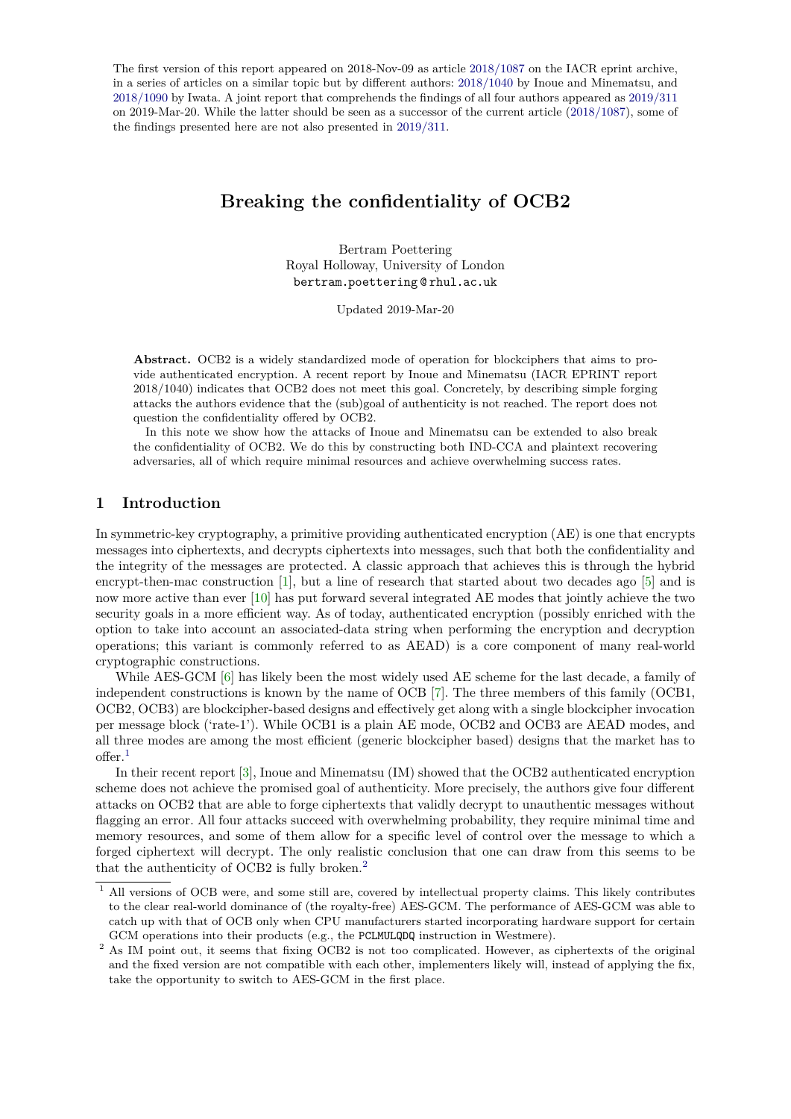The first version of this report appeared on 2018-Nov-09 as article [2018/1087](https://eprint.iacr.org/2018/1087) on the IACR eprint archive, in a series of articles on a similar topic but by different authors: [2018/1040](https://eprint.iacr.org/2018/1040) by Inoue and Minematsu, and [2018/1090](https://eprint.iacr.org/2018/1090) by Iwata. A joint report that comprehends the findings of all four authors appeared as [2019/311](https://eprint.iacr.org/2019/311) on 2019-Mar-20. While the latter should be seen as a successor of the current article [\(2018/1087\)](https://eprint.iacr.org/2018/1087), some of the findings presented here are not also presented in [2019/311.](https://eprint.iacr.org/2019/311)

# **Breaking the confidentiality of OCB2**

Bertram Poettering Royal Holloway, University of London bertram poettering @ rhul ac uk

Updated 2019-Mar-20

**Abstract.** OCB2 is a widely standardized mode of operation for blockciphers that aims to provide authenticated encryption. A recent report by Inoue and Minematsu (IACR EPRINT report 2018/1040) indicates that OCB2 does not meet this goal. Concretely, by describing simple forging attacks the authors evidence that the (sub)goal of authenticity is not reached. The report does not question the confidentiality offered by OCB2.

In this note we show how the attacks of Inoue and Minematsu can be extended to also break the confidentiality of OCB2. We do this by constructing both IND-CCA and plaintext recovering adversaries, all of which require minimal resources and achieve overwhelming success rates.

# **1 Introduction**

In symmetric-key cryptography, a primitive providing authenticated encryption (AE) is one that encrypts messages into ciphertexts, and decrypts ciphertexts into messages, such that both the confidentiality and the integrity of the messages are protected. A classic approach that achieves this is through the hybrid encrypt-then-mac construction [\[1\]](#page-9-0), but a line of research that started about two decades ago [\[5\]](#page-9-1) and is now more active than ever [\[10\]](#page-9-2) has put forward several integrated AE modes that jointly achieve the two security goals in a more efficient way. As of today, authenticated encryption (possibly enriched with the option to take into account an associated-data string when performing the encryption and decryption operations; this variant is commonly referred to as AEAD) is a core component of many real-world cryptographic constructions.

While AES-GCM [\[6\]](#page-9-3) has likely been the most widely used AE scheme for the last decade, a family of independent constructions is known by the name of OCB [\[7\]](#page-9-4). The three members of this family (OCB1, OCB2, OCB3) are blockcipher-based designs and effectively get along with a single blockcipher invocation per message block ('rate-1'). While OCB1 is a plain AE mode, OCB2 and OCB3 are AEAD modes, and all three modes are among the most efficient (generic blockcipher based) designs that the market has to offer.[1](#page-0-0)

In their recent report [\[3\]](#page-9-5), Inoue and Minematsu (IM) showed that the OCB2 authenticated encryption scheme does not achieve the promised goal of authenticity. More precisely, the authors give four different attacks on OCB2 that are able to forge ciphertexts that validly decrypt to unauthentic messages without flagging an error. All four attacks succeed with overwhelming probability, they require minimal time and memory resources, and some of them allow for a specific level of control over the message to which a forged ciphertext will decrypt. The only realistic conclusion that one can draw from this seems to be that the authenticity of OCB2 is fully broken.[2](#page-0-1)

<span id="page-0-0"></span><sup>&</sup>lt;sup>1</sup> All versions of OCB were, and some still are, covered by intellectual property claims. This likely contributes to the clear real-world dominance of (the royalty-free) AES-GCM. The performance of AES-GCM was able to catch up with that of OCB only when CPU manufacturers started incorporating hardware support for certain GCM operations into their products (e.g., the PCLMULQDQ instruction in Westmere).

<span id="page-0-1"></span><sup>&</sup>lt;sup>2</sup> As IM point out, it seems that fixing OCB2 is not too complicated. However, as ciphertexts of the original and the fixed version are not compatible with each other, implementers likely will, instead of applying the fix, take the opportunity to switch to AES-GCM in the first place.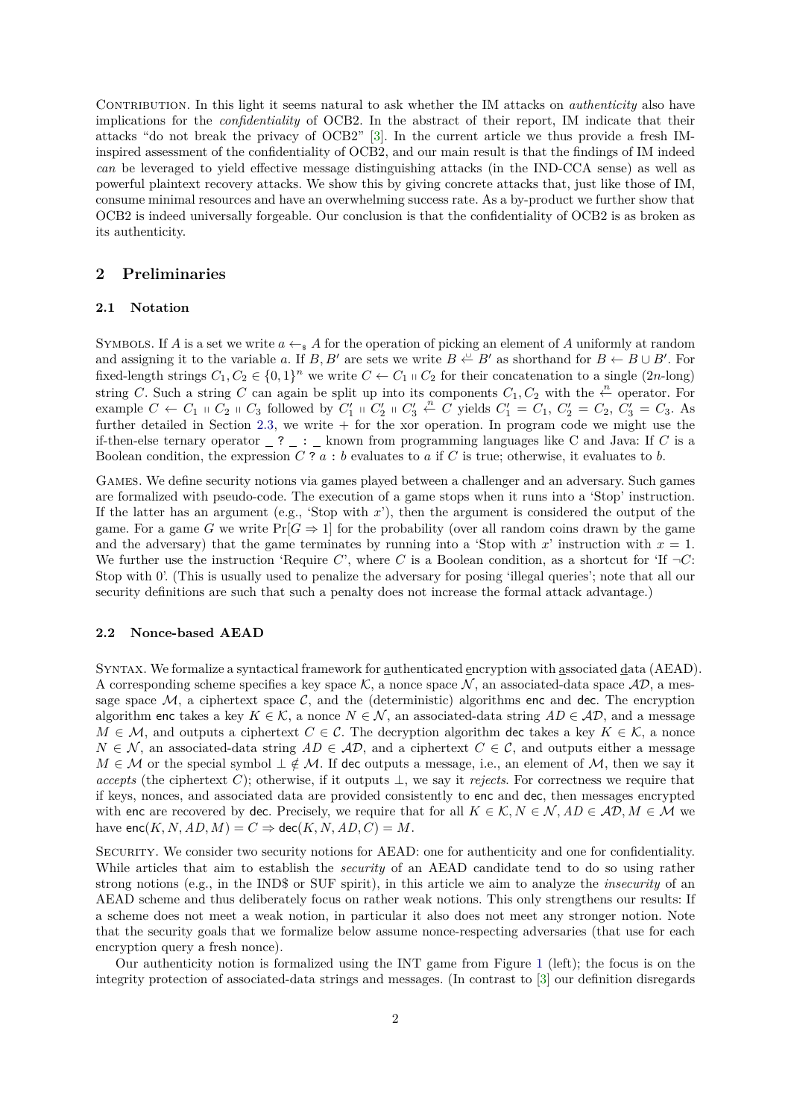CONTRIBUTION. In this light it seems natural to ask whether the IM attacks on *authenticity* also have implications for the *confidentiality* of OCB2. In the abstract of their report, IM indicate that their attacks "do not break the privacy of OCB2" [\[3\]](#page-9-5). In the current article we thus provide a fresh IMinspired assessment of the confidentiality of OCB2, and our main result is that the findings of IM indeed *can* be leveraged to yield effective message distinguishing attacks (in the IND-CCA sense) as well as powerful plaintext recovery attacks. We show this by giving concrete attacks that, just like those of IM, consume minimal resources and have an overwhelming success rate. As a by-product we further show that OCB2 is indeed universally forgeable. Our conclusion is that the confidentiality of OCB2 is as broken as its authenticity.

# **2 Preliminaries**

### **2.1 Notation**

SYMBOLS. If *A* is a set we write  $a \leftarrow s A$  for the operation of picking an element of *A* uniformly at random and assigning it to the variable *a*. If *B*, *B*<sup>*i*</sup> are sets we write  $B \stackrel{\cup}{\leftarrow} B'$  as shorthand for  $B \leftarrow B \cup B'$ . For fixed-length strings  $C_1, C_2 \in \{0, 1\}^n$  we write  $C \leftarrow C_1 \cup C_2$  for their concatenation to a single  $(2n$ -long) string *C*. Such a string *C* can again be split up into its components  $C_1, C_2$  with the  $\stackrel{n}{\leftarrow}$  operator. For example  $C \leftarrow C_1 + C_2 + C_3$  followed by  $C'_1 + C'_2 + C'_3 + C'_1$  wields  $C'_1 = C_1, C'_2 = C_2, C'_3 = C_3$ . As further detailed in Section [2.3,](#page-2-0) we write + for the xor operation. In program code we might use the if-then-else ternary operator  $\_$  ?  $\_$  :  $\_$  known from programming languages like C and Java: If *C* is a Boolean condition, the expression *C* ? *a* : *b* evaluates to *a* if *C* is true; otherwise, it evaluates to *b.*

Games. We define security notions via games played between a challenger and an adversary. Such games are formalized with pseudo-code. The execution of a game stops when it runs into a 'Stop' instruction. If the latter has an argument (e.g., 'Stop with  $x$ '), then the argument is considered the output of the game. For a game *G* we write  $Pr[G \Rightarrow 1]$  for the probability (over all random coins drawn by the game and the adversary) that the game terminates by running into a 'Stop with  $x'$  instruction with  $x = 1$ . We further use the instruction 'Require  $C$ ', where  $C$  is a Boolean condition, as a shortcut for 'If  $\neg C$ : Stop with 0'. (This is usually used to penalize the adversary for posing 'illegal queries'; note that all our security definitions are such that such a penalty does not increase the formal attack advantage.)

### **2.2 Nonce-based AEAD**

Syntax. We formalize a syntactical framework for authenticated encryption with associated data (AEAD). A corresponding scheme specifies a key space K, a nonce space  $\mathcal N$ , an associated-data space  $\mathcal{AD}$ , a message space  $M$ , a ciphertext space  $C$ , and the (deterministic) algorithms enc and dec. The encryption algorithm enc takes a key  $K \in \mathcal{K}$ , a nonce  $N \in \mathcal{N}$ , an associated-data string  $AD \in \mathcal{AD}$ , and a message *M* ∈ *M*, and outputs a ciphertext *C* ∈ *C*. The decryption algorithm dec takes a key  $K \in \mathcal{K}$ , a nonce  $N \in \mathcal{N}$ , an associated-data string  $AD \in \mathcal{AD}$ , and a ciphertext  $C \in \mathcal{C}$ , and outputs either a message *M* ∈ *M* or the special symbol  $\perp \notin \mathcal{M}$ . If dec outputs a message, i.e., an element of *M*, then we say it *accepts* (the ciphertext *C*); otherwise, if it outputs  $\perp$ , we say it *rejects*. For correctness we require that if keys, nonces, and associated data are provided consistently to enc and dec, then messages encrypted with enc are recovered by dec. Precisely, we require that for all  $K \in \mathcal{K}, N \in \mathcal{N}, AD \in \mathcal{AD}, M \in \mathcal{M}$  we have  $enc(K, N, AD, M) = C \Rightarrow dec(K, N, AD, C) = M$ .

Security. We consider two security notions for AEAD: one for authenticity and one for confidentiality. While articles that aim to establish the *security* of an AEAD candidate tend to do so using rather strong notions (e.g., in the IND\$ or SUF spirit), in this article we aim to analyze the *insecurity* of an AEAD scheme and thus deliberately focus on rather weak notions. This only strengthens our results: If a scheme does not meet a weak notion, in particular it also does not meet any stronger notion. Note that the security goals that we formalize below assume nonce-respecting adversaries (that use for each encryption query a fresh nonce).

Our authenticity notion is formalized using the INT game from Figure [1](#page-2-1) (left); the focus is on the integrity protection of associated-data strings and messages. (In contrast to [\[3\]](#page-9-5) our definition disregards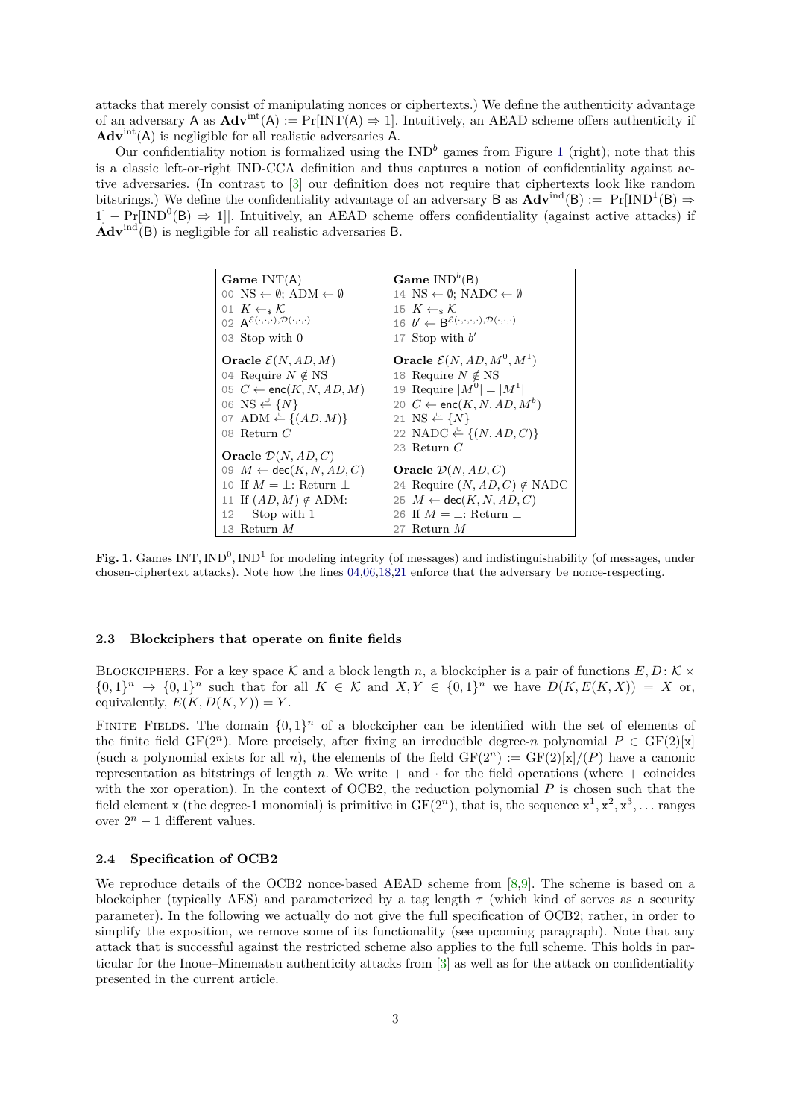attacks that merely consist of manipulating nonces or ciphertexts.) We define the authenticity advantage of an adversary A as  $\text{Adv}^{\text{int}}(A) := \Pr[\text{INT}(A) \Rightarrow 1]$ . Intuitively, an AEAD scheme offers authenticity if **Adv**int(A) is negligible for all realistic adversaries A.

Our confidentiality notion is formalized using the  $IND<sup>b</sup>$  games from Figure [1](#page-2-1) (right); note that this is a classic left-or-right IND-CCA definition and thus captures a notion of confidentiality against active adversaries. (In contrast to [\[3\]](#page-9-5) our definition does not require that ciphertexts look like random bitstrings.) We define the confidentiality advantage of an adversary B as  $\text{Adv}^{\text{ind}}(B) := |Pr[\text{IND}^1(B) \Rightarrow$  $1$ ] – Pr[IND<sup>0</sup>(B)  $\Rightarrow$  1]. Intuitively, an AEAD scheme offers confidentiality (against active attacks) if **Adv**ind(B) is negligible for all realistic adversaries B.

<span id="page-2-5"></span><span id="page-2-4"></span><span id="page-2-3"></span><span id="page-2-2"></span>**Game INT(A)**  
\n00 NS 
$$
\leftarrow \emptyset
$$
; ADM  $\leftarrow \emptyset$   
\n01 K  $\leftarrow_s K$   
\n02 A<sup>E(\cdot,\cdot,\cdot),D(\cdot,\cdot,\cdot)</sup>  
\n03 Stop with 0  
\n**Oracle**  $E(N, AD, M)$   
\n04 Required  $\leftarrow$  and  $\forall$  B  
\n05 C  $\leftarrow$  enc(K, N, AD, M)  
\n06 NS  $\leftarrow$  {N}  
\n17 Stop with b'  
\n18 Required  $E(N, AD, M^0, M^1)$   
\n06 NS  $\leftarrow$  {N}  
\n18 Required  $\leftarrow$  B<sup>E(\cdot,\cdot,\cdot,\cdot),D(\cdot,\cdot,\cdot)</sup>  
\n19 Required  $\leftarrow$  M<sup>0</sup> | = |M<sup>1</sup>|  
\n20 C  $\leftarrow$  enc(K, N, AD, M<sup>b</sup>)  
\n07 ADM  $\leftarrow$  {(AD, M)}  
\n08 Return C  
\n19 Requiv  $\leftarrow$  M<sup>0</sup> | = |M<sup>1</sup>|  
\n20 C  $\leftarrow$  enc(K, N, AD, M<sup>b</sup>)  
\n21 NS  $\leftarrow$  {N}  
\n22 NADC  $\leftarrow$  {(*N*, *AD*, *C*)  
\n23 Return C  
\n24 Requiv (N, AD, C)  
\n10 If  $M = \bot$ : Return  $\bot$   
\n11 If  $(AD, M) \notin$  ADM:  
\n22 M-DC  $\leftarrow$  s(K, AD, C)  
\n23 Return C  
\n24 Requiv (N, AD, C)  $\neq$  NADC  
\n25 M  $\leftarrow$  dec(K, N, AD, C)  
\n26 If  $M = \bot$ : Return  $\bot$   
\n27 Return M

<span id="page-2-1"></span>Fig. 1. Games INT, IND<sup>0</sup>, IND<sup>1</sup> for modeling integrity (of messages) and indistinguishability (of messages, under chosen-ciphertext attacks). Note how the lines [04,](#page-2-2)[06,](#page-2-3)[18,](#page-2-4)[21](#page-2-5) enforce that the adversary be nonce-respecting.

### <span id="page-2-0"></span>**2.3 Blockciphers that operate on finite fields**

BLOCKCIPHERS. For a key space K and a block length *n*, a blockcipher is a pair of functions  $E, D: K \times$  $\{0,1\}^n$   $\rightarrow$   $\{0,1\}^n$  such that for all  $K \in \mathcal{K}$  and  $X, Y \in \{0,1\}^n$  we have  $D(K, E(K, X)) = X$  or, equivalently,  $E(K, D(K, Y)) = Y$ .

FINITE FIELDS. The domain  $\{0,1\}^n$  of a blockcipher can be identified with the set of elements of the finite field  $GF(2^n)$ . More precisely, after fixing an irreducible degree-*n* polynomial  $P \in GF(2)[x]$ (such a polynomial exists for all *n*), the elements of the field  $GF(2^n) := GF(2)[x]/(P)$  have a canonic representation as bitstrings of length *n*. We write  $+$  and  $\cdot$  for the field operations (where  $+$  coincides with the xor operation). In the context of OCB2, the reduction polynomial *P* is chosen such that the field element **x** (the degree-1 monomial) is primitive in  $GF(2<sup>n</sup>)$ , that is, the sequence  $x<sup>1</sup>, x<sup>2</sup>, x<sup>3</sup>, \ldots$  ranges over  $2^n - 1$  different values.

### **2.4 Specification of OCB2**

We reproduce details of the OCB2 nonce-based AEAD scheme from [\[8,](#page-9-6)[9\]](#page-9-7). The scheme is based on a blockcipher (typically AES) and parameterized by a tag length *τ* (which kind of serves as a security parameter). In the following we actually do not give the full specification of OCB2; rather, in order to simplify the exposition, we remove some of its functionality (see upcoming paragraph). Note that any attack that is successful against the restricted scheme also applies to the full scheme. This holds in particular for the Inoue–Minematsu authenticity attacks from [\[3\]](#page-9-5) as well as for the attack on confidentiality presented in the current article.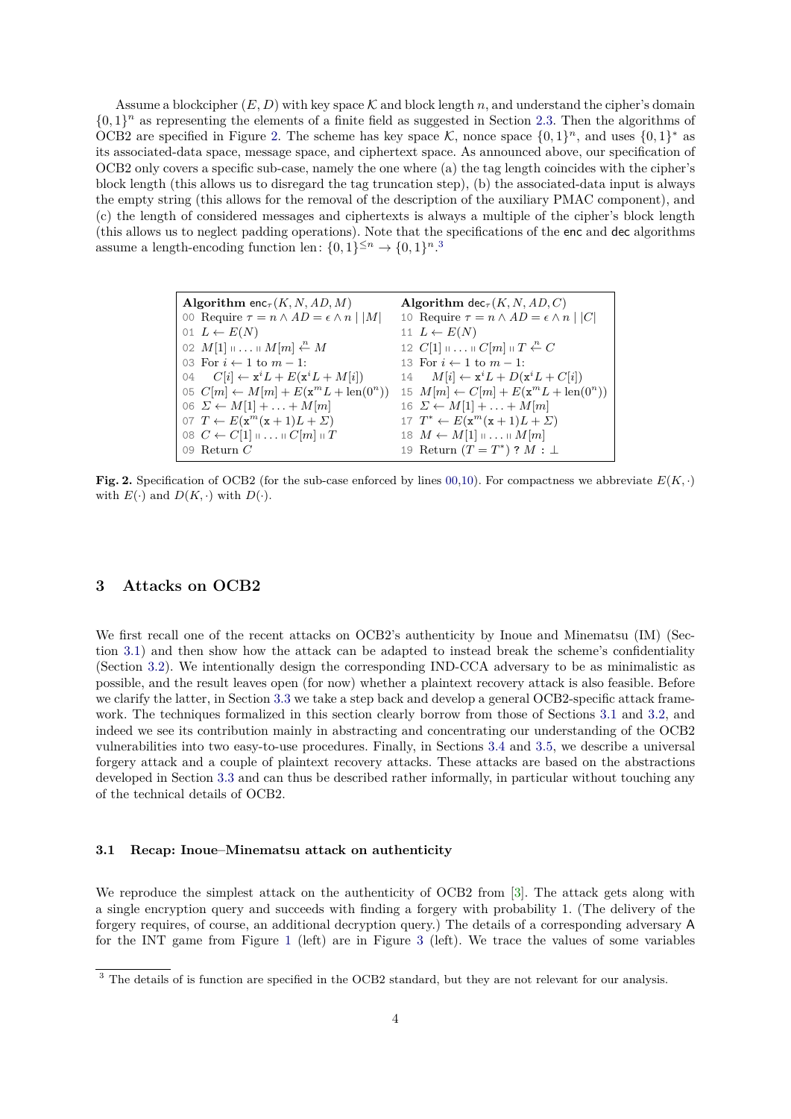Assume a blockcipher  $(E, D)$  with key space  $K$  and block length  $n$ , and understand the cipher's domain  $\{0,1\}^n$  as representing the elements of a finite field as suggested in Section [2.3.](#page-2-0) Then the algorithms of OCB2 are specified in Figure [2.](#page-3-0) The scheme has key space  $\mathcal{K}$ , nonce space  $\{0,1\}^n$ , and uses  $\{0,1\}^*$  as its associated-data space, message space, and ciphertext space. As announced above, our specification of OCB2 only covers a specific sub-case, namely the one where (a) the tag length coincides with the cipher's block length (this allows us to disregard the tag truncation step), (b) the associated-data input is always the empty string (this allows for the removal of the description of the auxiliary PMAC component), and (c) the length of considered messages and ciphertexts is always a multiple of the cipher's block length (this allows us to neglect padding operations). Note that the specifications of the enc and dec algorithms assume a length-encoding function len:  $\{0,1\}^{\leq n} \to \{0,1\}^{n}$ .

<span id="page-3-6"></span><span id="page-3-3"></span><span id="page-3-2"></span>

| <b>Algorithm</b> enc <sub><math>\tau</math></sub> $(K, N, AD, M)$  | <b>Algorithm</b> dec <sub><math>\tau</math></sub> $(K, N, AD, C)$    |
|--------------------------------------------------------------------|----------------------------------------------------------------------|
| 00 Require $\tau = n \wedge AD = \epsilon \wedge n \mid  M $       | 10 Require $\tau = n \wedge AD = \epsilon \wedge n \mid  C $         |
| 01 $L \leftarrow E(N)$                                             | 11 $L \leftarrow E(N)$                                               |
| 02 $M[1]$ $\cdots$ $\cdots$ $M[m] \stackrel{n}{\leftarrow} M$      | 12 $C[1]$ $\cdots$ $C[m]$ $\parallel$ $T \stackrel{n}{\leftarrow} C$ |
| 03 For $i \leftarrow 1$ to $m-1$ :                                 | 13 For $i \leftarrow 1$ to $m-1$ :                                   |
| 04 $C[i] \leftarrow \mathbf{x}^i L + E(\mathbf{x}^i L + M[i])$     | 14 $M[i] \leftarrow \mathbf{x}^i L + D(\mathbf{x}^i L + C[i])$       |
| 05 $C[m] \leftarrow M[m] + E(\mathbf{x}^m L + \text{len}(0^n))$    | 15 $M[m] \leftarrow C[m] + E(\mathbf{x}^m L + \text{len}(0^n))$      |
| 06 $\Sigma \leftarrow M[1] + \ldots + M[m]$                        | 16 $\Sigma \leftarrow M[1] + \ldots + M[m]$                          |
| 07 $T \leftarrow E(\mathbf{x}^m(\mathbf{x}+1)L+\Sigma)$            | 17 $T^* \leftarrow E(\mathbf{x}^m(\mathbf{x}+1)L+\Sigma)$            |
| 08 $C \leftarrow C[1] \parallel \ldots \parallel C[m] \parallel T$ | 18 $M \leftarrow M[1] \dots \dots \dots M[m]$                        |
| 09 Return $C$                                                      | 19 Return $(T = T^*)$ ? $M : \bot$                                   |

<span id="page-3-5"></span><span id="page-3-0"></span>**Fig. 2.** Specification of OCB2 (for the sub-case enforced by lines [00,](#page-3-2)[10\)](#page-3-3). For compactness we abbreviate  $E(K, \cdot)$ with  $E(\cdot)$  and  $D(K, \cdot)$  with  $D(\cdot)$ .

### <span id="page-3-7"></span>**3 Attacks on OCB2**

We first recall one of the recent attacks on OCB2's authenticity by Inoue and Minematsu (IM) (Section [3.1\)](#page-3-4) and then show how the attack can be adapted to instead break the scheme's confidentiality (Section [3.2\)](#page-4-0). We intentionally design the corresponding IND-CCA adversary to be as minimalistic as possible, and the result leaves open (for now) whether a plaintext recovery attack is also feasible. Before we clarify the latter, in Section [3.3](#page-5-0) we take a step back and develop a general OCB2-specific attack framework. The techniques formalized in this section clearly borrow from those of Sections [3.1](#page-3-4) and [3.2,](#page-4-0) and indeed we see its contribution mainly in abstracting and concentrating our understanding of the OCB2 vulnerabilities into two easy-to-use procedures. Finally, in Sections [3.4](#page-7-0) and [3.5,](#page-7-1) we describe a universal forgery attack and a couple of plaintext recovery attacks. These attacks are based on the abstractions developed in Section [3.3](#page-5-0) and can thus be described rather informally, in particular without touching any of the technical details of OCB2.

### <span id="page-3-4"></span>**3.1 Recap: Inoue–Minematsu attack on authenticity**

We reproduce the simplest attack on the authenticity of OCB2 from [\[3\]](#page-9-5). The attack gets along with a single encryption query and succeeds with finding a forgery with probability 1. (The delivery of the forgery requires, of course, an additional decryption query.) The details of a corresponding adversary A for the INT game from Figure [1](#page-2-1) (left) are in Figure [3](#page-4-1) (left). We trace the values of some variables

<span id="page-3-1"></span><sup>&</sup>lt;sup>3</sup> The details of is function are specified in the OCB2 standard, but they are not relevant for our analysis.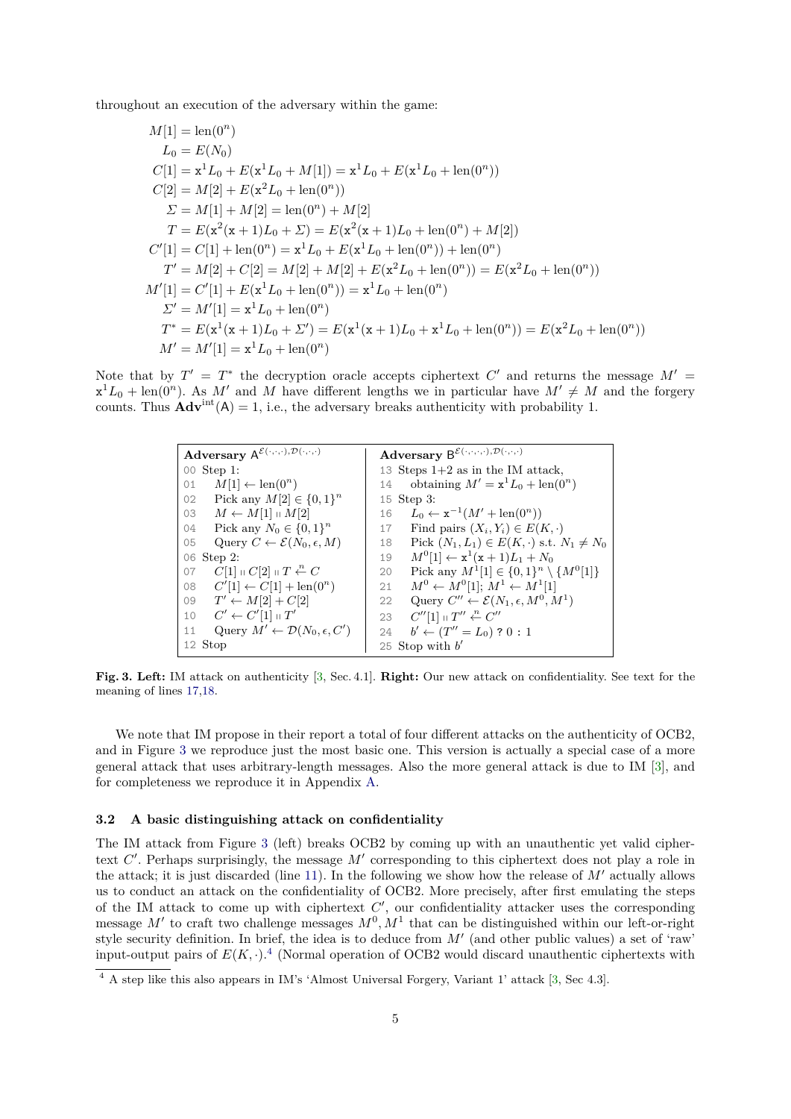throughout an execution of the adversary within the game:

$$
M[1] = \text{len}(0^n)
$$
  
\n
$$
L_0 = E(N_0)
$$
  
\n
$$
C[1] = \mathbf{x}^1 L_0 + E(\mathbf{x}^1 L_0 + M[1]) = \mathbf{x}^1 L_0 + E(\mathbf{x}^1 L_0 + \text{len}(0^n))
$$
  
\n
$$
C[2] = M[2] + E(\mathbf{x}^2 L_0 + \text{len}(0^n))
$$
  
\n
$$
\Sigma = M[1] + M[2] = \text{len}(0^n) + M[2]
$$
  
\n
$$
T = E(\mathbf{x}^2(\mathbf{x} + 1)L_0 + \Sigma) = E(\mathbf{x}^2(\mathbf{x} + 1)L_0 + \text{len}(0^n) + M[2])
$$
  
\n
$$
C'[1] = C[1] + \text{len}(0^n) = \mathbf{x}^1 L_0 + E(\mathbf{x}^1 L_0 + \text{len}(0^n)) + \text{len}(0^n)
$$
  
\n
$$
T' = M[2] + C[2] = M[2] + M[2] + E(\mathbf{x}^2 L_0 + \text{len}(0^n)) = E(\mathbf{x}^2 L_0 + \text{len}(0^n))
$$
  
\n
$$
M'[1] = C'[1] + E(\mathbf{x}^1 L_0 + \text{len}(0^n)) = \mathbf{x}^1 L_0 + \text{len}(0^n)
$$
  
\n
$$
\Sigma' = M'[1] = \mathbf{x}^1 L_0 + \text{len}(0^n)
$$
  
\n
$$
T^* = E(\mathbf{x}^1(\mathbf{x} + 1)L_0 + \Sigma') = E(\mathbf{x}^1(\mathbf{x} + 1)L_0 + \mathbf{x}^1 L_0 + \text{len}(0^n)) = E(\mathbf{x}^2 L_0 + \text{len}(0^n))
$$
  
\n
$$
M' = M'[1] = \mathbf{x}^1 L_0 + \text{len}(0^n)
$$

Note that by  $T' = T^*$  the decryption oracle accepts ciphertext  $C'$  and returns the message  $M' =$  $x^1L_0 + \text{len}(0^n)$ . As M' and M have different lengths we in particular have  $M' \neq M$  and the forgery counts. Thus  $\mathbf{\hat{A}dv}^{\text{int}}(A) = 1$ , i.e., the adversary breaks authenticity with probability 1.

<span id="page-4-8"></span><span id="page-4-7"></span><span id="page-4-6"></span><span id="page-4-3"></span><span id="page-4-2"></span>

| Adversary $\mathsf{A}^{\mathcal{E}(\cdot,\cdot,\cdot),\mathcal{D}(\cdot,\cdot,\cdot)}$ | Adversary $\mathsf{B}^{\mathcal{E}(\cdot,\cdot,\cdot,\cdot),\mathcal{D}(\cdot,\cdot,\cdot)}$ |
|----------------------------------------------------------------------------------------|----------------------------------------------------------------------------------------------|
| 00 Step 1:                                                                             | 13 Steps $1+2$ as in the IM attack,                                                          |
| $M[1] \leftarrow \text{len}(0^n)$                                                      | obtaining $M' = \mathbf{x}^1 L_0 + \text{len}(0^n)$                                          |
| 01                                                                                     | 14                                                                                           |
| Pick any $M[2] \in \{0,1\}^n$<br>02                                                    | 15 Step 3:                                                                                   |
| 03 $M \leftarrow M[1] \cup M[2]$                                                       | $L_0 \leftarrow x^{-1}(M' + len(0^n))$<br>16                                                 |
| Pick any $N_0 \in \{0,1\}^n$                                                           | Find pairs $(X_i, Y_i) \in E(K, \cdot)$                                                      |
| 04                                                                                     | 17                                                                                           |
| Query $C \leftarrow \mathcal{E}(N_0, \epsilon, M)$                                     | Pick $(N_1, L_1) \in E(K, \cdot)$ s.t. $N_1 \neq N_0$                                        |
| 05                                                                                     | 18                                                                                           |
| 06 Step 2:                                                                             | $M^{0}[1] \leftarrow x^{1}(x+1)L_{1} + N_{0}$<br>19                                          |
| $C[1] \cup C[2] \cup T \stackrel{n}{\leftarrow} C$                                     | Pick any $M^1[1] \in \{0,1\}^n \setminus \{M^0[1]\}$                                         |
| 07                                                                                     | 20                                                                                           |
| $C'[1] \leftarrow C[1] + len(0^n)$                                                     | $M^0 \leftarrow M^0[1]; M^1 \leftarrow M^1[1]$                                               |
| 08                                                                                     | 21                                                                                           |
| 09 $T' \leftarrow M[2] + C[2]$                                                         | Query $C'' \leftarrow \mathcal{E}(N_1, \epsilon, M^0, M^1)$<br>22                            |
| $C' \leftarrow C'[1] \shortparallel T'$                                                | $C''[1] \shortparallel T'' \stackrel{n}{\leftarrow} C''$                                     |
| 10                                                                                     | 23                                                                                           |
| Query $M' \leftarrow \mathcal{D}(N_0, \epsilon, C')$                                   | $b' \leftarrow (T'' = L_0) ? 0 : 1$                                                          |
| 11                                                                                     | 24                                                                                           |
| 12 Stop                                                                                | 25 Stop with $b'$                                                                            |

<span id="page-4-4"></span><span id="page-4-1"></span>**Fig. 3. Left:** IM attack on authenticity [\[3,](#page-9-5) Sec. 4.1]. **Right:** Our new attack on confidentiality. See text for the meaning of lines [17,](#page-4-2)[18.](#page-4-3)

We note that IM propose in their report a total of four different attacks on the authenticity of OCB2, and in Figure [3](#page-4-1) we reproduce just the most basic one. This version is actually a special case of a more general attack that uses arbitrary-length messages. Also the more general attack is due to IM [\[3\]](#page-9-5), and for completeness we reproduce it in Appendix [A.](#page-10-0)

### <span id="page-4-0"></span>**3.2 A basic distinguishing attack on confidentiality**

The IM attack from Figure [3](#page-4-1) (left) breaks OCB2 by coming up with an unauthentic yet valid ciphertext  $C'$ . Perhaps surprisingly, the message  $M'$  corresponding to this ciphertext does not play a role in the attack; it is just discarded (line [11\)](#page-4-4). In the following we show how the release of  $M'$  actually allows us to conduct an attack on the confidentiality of OCB2. More precisely, after first emulating the steps of the IM attack to come up with ciphertext  $C'$ , our confidentiality attacker uses the corresponding message  $M'$  to craft two challenge messages  $M^0, M^1$  that can be distinguished within our left-or-right style security definition. In brief, the idea is to deduce from  $M'$  (and other public values) a set of 'raw' input-output pairs of  $E(K, \cdot)$ .<sup>[4](#page-4-5)</sup> (Normal operation of OCB2 would discard unauthentic ciphertexts with

<span id="page-4-5"></span><sup>&</sup>lt;sup>4</sup> A step like this also appears in IM's 'Almost Universal Forgery, Variant 1' attack [\[3,](#page-9-5) Sec 4.3].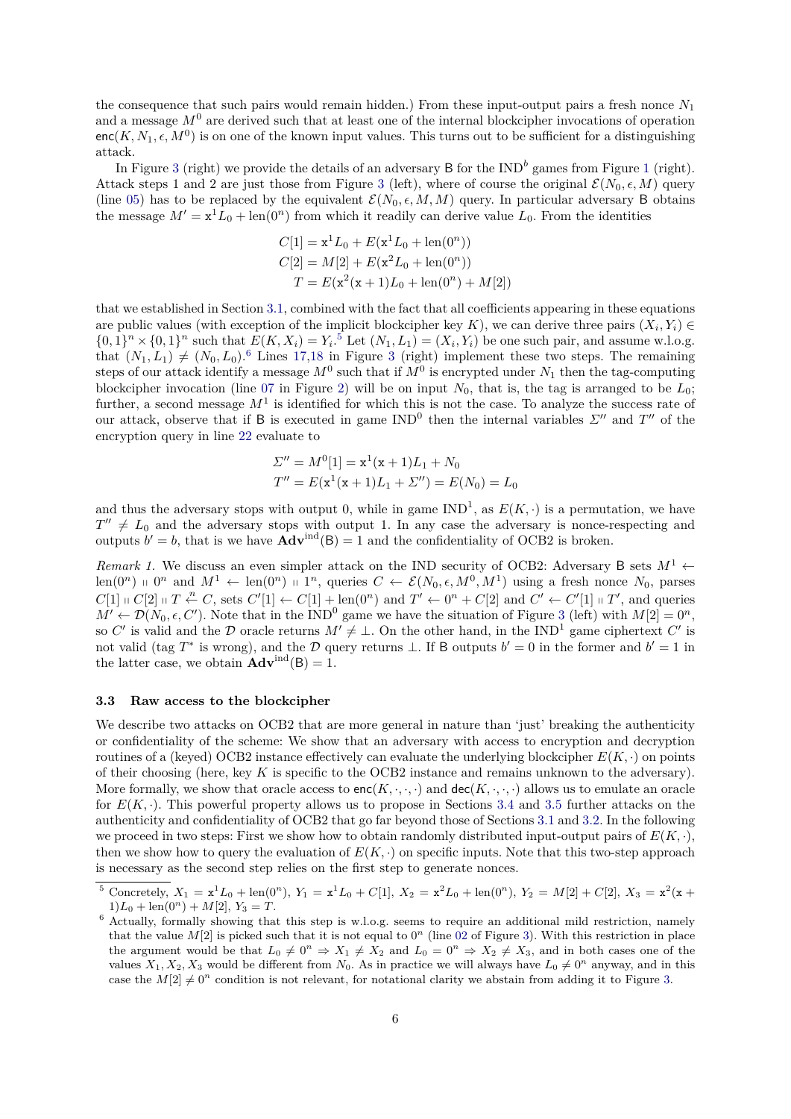the consequence that such pairs would remain hidden.) From these input-output pairs a fresh nonce *N*<sup>1</sup> and a message *M*<sup>0</sup> are derived such that at least one of the internal blockcipher invocations of operation  $enc(K, N_1, \epsilon, M^0)$  is on one of the known input values. This turns out to be sufficient for a distinguishing attack.

In Figure [3](#page-4-1) (right) we provide the details of an adversary B for the  $IND<sup>b</sup>$  games from Figure [1](#page-2-1) (right). Attack steps 1 and 2 are just those from Figure [3](#page-4-1) (left), where of course the original  $\mathcal{E}(N_0, \epsilon, M)$  query (line [05\)](#page-4-6) has to be replaced by the equivalent  $\mathcal{E}(N_0, \epsilon, M, M)$  query. In particular adversary B obtains the message  $M' = x^1 L_0 + \text{len}(0^n)$  from which it readily can derive value  $L_0$ . From the identities

$$
C[1] = \mathbf{x}^{1} L_{0} + E(\mathbf{x}^{1} L_{0} + \text{len}(0^{n}))
$$
  
\n
$$
C[2] = M[2] + E(\mathbf{x}^{2} L_{0} + \text{len}(0^{n}))
$$
  
\n
$$
T = E(\mathbf{x}^{2}(\mathbf{x} + 1) L_{0} + \text{len}(0^{n}) + M[2])
$$

that we established in Section [3.1,](#page-3-4) combined with the fact that all coefficients appearing in these equations are public values (with exception of the implicit blockcipher key  $K$ ), we can derive three pairs  $(X_i, Y_i) \in$  $\{0,1\}^n \times \{0,1\}^n$  such that  $E(K, X_i) = Y_i$ <sup>[5](#page-5-1)</sup> Let  $(N_1, L_1) = (X_i, Y_i)$  be one such pair, and assume w.l.o.g. that  $(N_1, L_1) \neq (N_0, L_0)$ .<sup>[6](#page-5-2)</sup> Lines [17,](#page-4-2)[18](#page-4-3) in Figure [3](#page-4-1) (right) implement these two steps. The remaining steps of our attack identify a message  $M^0$  such that if  $M^0$  is encrypted under  $N_1$  then the tag-computing blockcipher invocation (line [07](#page-3-5) in Figure [2\)](#page-3-0) will be on input  $N_0$ , that is, the tag is arranged to be  $L_0$ ; further, a second message  $M<sup>1</sup>$  is identified for which this is not the case. To analyze the success rate of our attack, observe that if B is executed in game  $IND<sup>0</sup>$  then the internal variables  $\Sigma''$  and  $T''$  of the encryption query in line [22](#page-4-7) evaluate to

$$
\Sigma'' = M^{0}[1] = \mathbf{x}^{1}(\mathbf{x} + 1)L_{1} + N_{0}
$$
  
\n
$$
T'' = E(\mathbf{x}^{1}(\mathbf{x} + 1)L_{1} + \Sigma'') = E(N_{0}) = L_{0}
$$

and thus the adversary stops with output 0, while in game  $IND<sup>1</sup>$ , as  $E(K, \cdot)$  is a permutation, we have  $T'' \neq L_0$  and the adversary stops with output 1. In any case the adversary is nonce-respecting and outputs  $b' = b$ , that is we have  $\text{Adv}^{\text{ind}}(B) = 1$  and the confidentiality of OCB2 is broken.

*Remark 1.* We discuss an even simpler attack on the IND security of OCB2: Adversary B sets  $M^1$  ← len(0<sup>n</sup>)  $\theta$ <sup>n</sup> and  $M^1 \leftarrow \text{len}(0^n) + 1^n$ , queries  $C \leftarrow \mathcal{E}(N_0, \epsilon, M^0, M^1)$  using a fresh nonce  $N_0$ , parses  $C[1] \parallel C[2] \parallel T \stackrel{n}{\leftarrow} C$ , sets  $C'[1] \leftarrow C[1] + \text{len}(0^n)$  and  $T' \leftarrow 0^n + C[2]$  and  $C' \leftarrow C'[1] \parallel T'$ , and queries  $M' \leftarrow \mathcal{D}(N_0, \epsilon, C')$ . Note that in the IND<sup>0</sup> game we have the situation of Figure [3](#page-4-1) (left) with  $M[2] = 0^n$ , so *C*' is valid and the D oracle returns  $M' \neq \perp$ . On the other hand, in the IND<sup>1</sup> game ciphertext *C'* is not valid (tag  $T^*$  is wrong), and the D query returns  $\perp$ . If B outputs  $b' = 0$  in the former and  $b' = 1$  in the latter case, we obtain  $\mathbf{Adv}^{\text{ind}}(\mathsf{B}) = 1$ .

#### <span id="page-5-0"></span>**3.3 Raw access to the blockcipher**

We describe two attacks on OCB2 that are more general in nature than 'just' breaking the authenticity or confidentiality of the scheme: We show that an adversary with access to encryption and decryption routines of a (keyed) OCB2 instance effectively can evaluate the underlying blockcipher  $E(K, \cdot)$  on points of their choosing (here, key *K* is specific to the OCB2 instance and remains unknown to the adversary). More formally, we show that oracle access to  $enc(K, \cdot, \cdot, \cdot)$  and  $dec(K, \cdot, \cdot, \cdot)$  allows us to emulate an oracle for  $E(K, \cdot)$ . This powerful property allows us to propose in Sections [3.4](#page-7-0) and [3.5](#page-7-1) further attacks on the authenticity and confidentiality of OCB2 that go far beyond those of Sections [3.1](#page-3-4) and [3.2.](#page-4-0) In the following we proceed in two steps: First we show how to obtain randomly distributed input-output pairs of  $E(K, \cdot)$ , then we show how to query the evaluation of  $E(K, \cdot)$  on specific inputs. Note that this two-step approach is necessary as the second step relies on the first step to generate nonces.

<span id="page-5-1"></span><sup>&</sup>lt;sup>5</sup> Concretely,  $X_1 = \mathbf{x}^1 L_0 + \text{len}(0^n)$ ,  $Y_1 = \mathbf{x}^1 L_0 + C[1]$ ,  $X_2 = \mathbf{x}^2 L_0 + \text{len}(0^n)$ ,  $Y_2 = M[2] + C[2]$ ,  $X_3 = \mathbf{x}^2(\mathbf{x} + \mathbf{p})$  $1)L_0 + \text{len}(0^n) + M[2], Y_3 = T.$ 

<span id="page-5-2"></span><sup>&</sup>lt;sup>6</sup> Actually, formally showing that this step is w.l.o.g. seems to require an additional mild restriction, namely that the value  $M[2]$  is picked such that it is not equal to  $0<sup>n</sup>$  (line [02](#page-4-8) of Figure [3\)](#page-4-1). With this restriction in place the argument would be that  $L_0 \neq 0^n \Rightarrow X_1 \neq X_2$  and  $L_0 = 0^n \Rightarrow X_2 \neq X_3$ , and in both cases one of the values  $X_1, X_2, X_3$  would be different from  $N_0$ . As in practice we will always have  $L_0 \neq 0^n$  anyway, and in this case the  $M[2] \neq 0^n$  condition is not relevant, for notational clarity we abstain from adding it to Figure [3.](#page-4-1)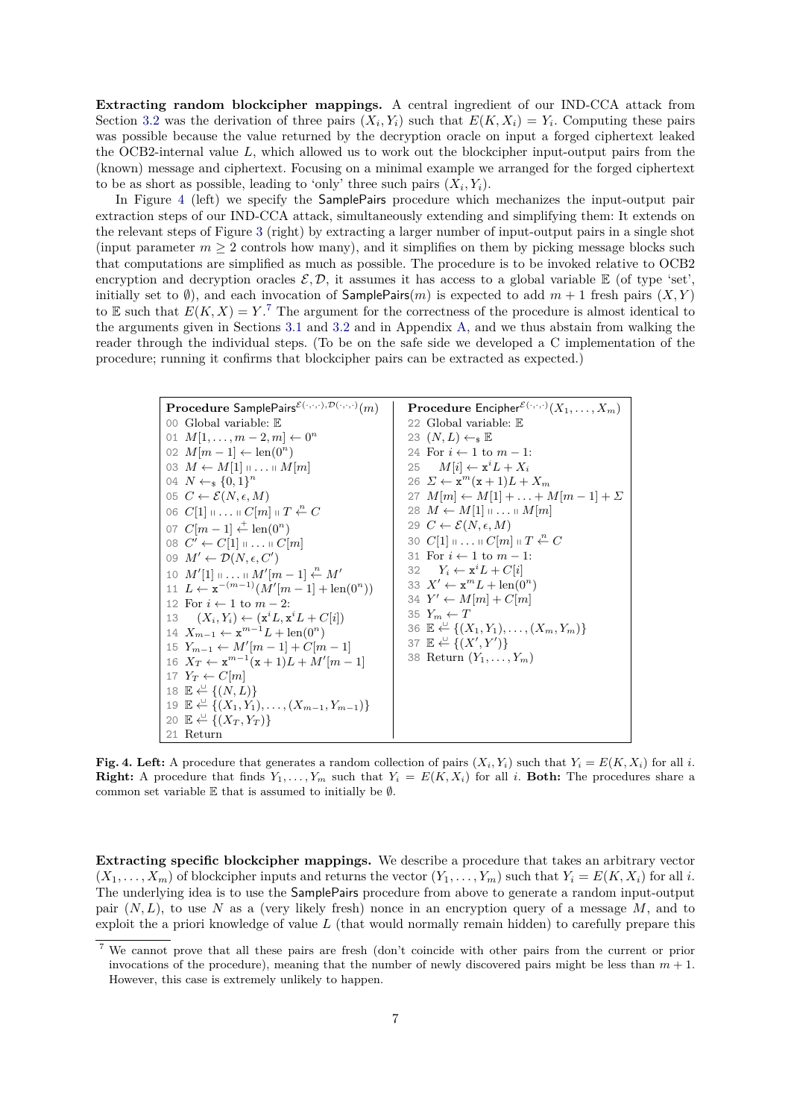**Extracting random blockcipher mappings.** A central ingredient of our IND-CCA attack from Section [3.2](#page-4-0) was the derivation of three pairs  $(X_i, Y_i)$  such that  $E(K, X_i) = Y_i$ . Computing these pairs was possible because the value returned by the decryption oracle on input a forged ciphertext leaked the OCB2-internal value *L*, which allowed us to work out the blockcipher input-output pairs from the (known) message and ciphertext. Focusing on a minimal example we arranged for the forged ciphertext to be as short as possible, leading to 'only' three such pairs  $(X_i, Y_i)$ .

In Figure [4](#page-6-0) (left) we specify the SamplePairs procedure which mechanizes the input-output pair extraction steps of our IND-CCA attack, simultaneously extending and simplifying them: It extends on the relevant steps of Figure [3](#page-4-1) (right) by extracting a larger number of input-output pairs in a single shot (input parameter  $m \geq 2$  controls how many), and it simplifies on them by picking message blocks such that computations are simplified as much as possible. The procedure is to be invoked relative to OCB2 encryption and decryption oracles  $\mathcal{E}, \mathcal{D}$ , it assumes it has access to a global variable  $\mathbb{E}$  (of type 'set', initially set to  $\emptyset$ ), and each invocation of **SamplePairs** $(m)$  is expected to add  $m + 1$  fresh pairs  $(X, Y)$ to E such that  $E(K, X) = Y$ .<sup>[7](#page-6-1)</sup> The argument for the correctness of the procedure is almost identical to the arguments given in Sections [3.1](#page-3-4) and [3.2](#page-4-0) and in Appendix [A,](#page-10-0) and we thus abstain from walking the reader through the individual steps. (To be on the safe side we developed a C implementation of the procedure; running it confirms that blockcipher pairs can be extracted as expected.)

<span id="page-6-2"></span>

| Procedure SamplePairs $\mathcal{E}(\cdot,\cdot,\cdot),\mathcal{D}(\cdot,\cdot,\cdot)(m)$ | <b>Procedure Encipher</b> <sup><math>\mathcal{E}(\cdot,\cdot,\cdot)(X_1,\ldots,X_m)</math></sup> |
|------------------------------------------------------------------------------------------|--------------------------------------------------------------------------------------------------|
| 00 Global variable: $E$                                                                  | 22 Global variable: $E$                                                                          |
| 01 $M[1,\ldots,m-2,m] \leftarrow 0^n$                                                    | 23 $(N, L) \leftarrow_{\rm s} \mathbb{E}$                                                        |
| 02 $M[m-1] \leftarrow \text{len}(0^n)$                                                   | 24 For $i \leftarrow 1$ to $m-1$ :                                                               |
| 03 $M \leftarrow M[1] \dots \dots \dots M[m]$                                            | 25 $M[i] \leftarrow \mathbf{x}^i L + X_i$                                                        |
| 04 $N \leftarrow_s \{0,1\}^n$                                                            | 26 $\Sigma \leftarrow \mathbf{x}^m(\mathbf{x}+1)L+X_m$                                           |
| 05 $C \leftarrow \mathcal{E}(N, \epsilon, M)$                                            | 27 $M[m] \leftarrow M[1] +  + M[m-1] + \Sigma$                                                   |
| 06 $C[1]$ $\cdots$ $C[m]$ $\parallel$ $T \stackrel{n}{\leftarrow} C$                     | 28 $M \leftarrow M[1] \dots \dots \dots M[m]$                                                    |
| 07 $C[m-1] \stackrel{+}{\leftarrow} \text{len}(0^n)$                                     | 29 $C \leftarrow \mathcal{E}(N, \epsilon, M)$                                                    |
| 08 $C' \leftarrow C[1] \sqcup \ldots \sqcup C[m]$                                        | 30 $C[1]$ $\cdots$ $\cdots$ $C[m]$ $\cdots$ $T \stackrel{n}{\leftarrow} C$                       |
| 09 $M' \leftarrow \mathcal{D}(N, \epsilon, C')$                                          | 31 For $i \leftarrow 1$ to $m-1$ :                                                               |
| 10 $M'[1] \dots \dots \dots M'[m-1] \stackrel{n}{\leftarrow} M'$                         | 32 $Y_i \leftarrow \mathbf{x}^i L + C[i]$                                                        |
| 11 $L \leftarrow \mathbf{x}^{-(m-1)}(M'[m-1] + \text{len}(0^n))$                         | 33 $X' \leftarrow \mathbf{x}^m L + \text{len}(0^n)$                                              |
| 12 For $i \leftarrow 1$ to $m-2$ :                                                       | 34 $Y' \leftarrow M[m] + C[m]$                                                                   |
| 13 $(X_i, Y_i) \leftarrow (\mathbf{x}^i L, \mathbf{x}^i L + C[i])$                       | 35 $Y_m \leftarrow T$                                                                            |
| 14 $X_{m-1} \leftarrow \mathbf{x}^{m-1}L + \text{len}(0^n)$                              | 36 $\mathbb{E} \leftarrow \{(X_1, Y_1), \ldots, (X_m, Y_m)\}\$                                   |
| 15 $Y_{m-1} \leftarrow M'[m-1] + C[m-1]$                                                 | 37 $\mathbb{E} \leftarrow \{(X', Y')\}$                                                          |
| 16 $X_T \leftarrow \mathbf{x}^{m-1}(\mathbf{x}+1)L + M'[m-1]$                            | 38 Return $(Y_1, \ldots, Y_m)$                                                                   |
| 17 $Y_T \leftarrow C[m]$                                                                 |                                                                                                  |
| 18 $E \leftarrow \{(N,L)\}\$                                                             |                                                                                                  |
| 19 $\mathbb{E} \leftarrow \{(X_1, Y_1), \ldots, (X_{m-1}, Y_{m-1})\}$                    |                                                                                                  |
| 20 $\mathbb{E} \stackrel{\cup}{\leftarrow} \{(X_T, Y_T)\}\$                              |                                                                                                  |
| 21 Return                                                                                |                                                                                                  |

<span id="page-6-0"></span>**Fig. 4. Left:** A procedure that generates a random collection of pairs  $(X_i, Y_i)$  such that  $Y_i = E(K, X_i)$  for all *i*. **Right:** A procedure that finds  $Y_1, \ldots, Y_m$  such that  $Y_i = E(K, X_i)$  for all *i*. Both: The procedures share a common set variable  $E$  that is assumed to initially be  $\emptyset$ .

**Extracting specific blockcipher mappings.** We describe a procedure that takes an arbitrary vector  $(X_1, \ldots, X_m)$  of blockcipher inputs and returns the vector  $(Y_1, \ldots, Y_m)$  such that  $Y_i = E(K, X_i)$  for all *i*. The underlying idea is to use the SamplePairs procedure from above to generate a random input-output pair (*N, L*), to use *N* as a (very likely fresh) nonce in an encryption query of a message *M*, and to exploit the a priori knowledge of value *L* (that would normally remain hidden) to carefully prepare this

<span id="page-6-1"></span><sup>7</sup> We cannot prove that all these pairs are fresh (don't coincide with other pairs from the current or prior invocations of the procedure), meaning that the number of newly discovered pairs might be less than *m* + 1. However, this case is extremely unlikely to happen.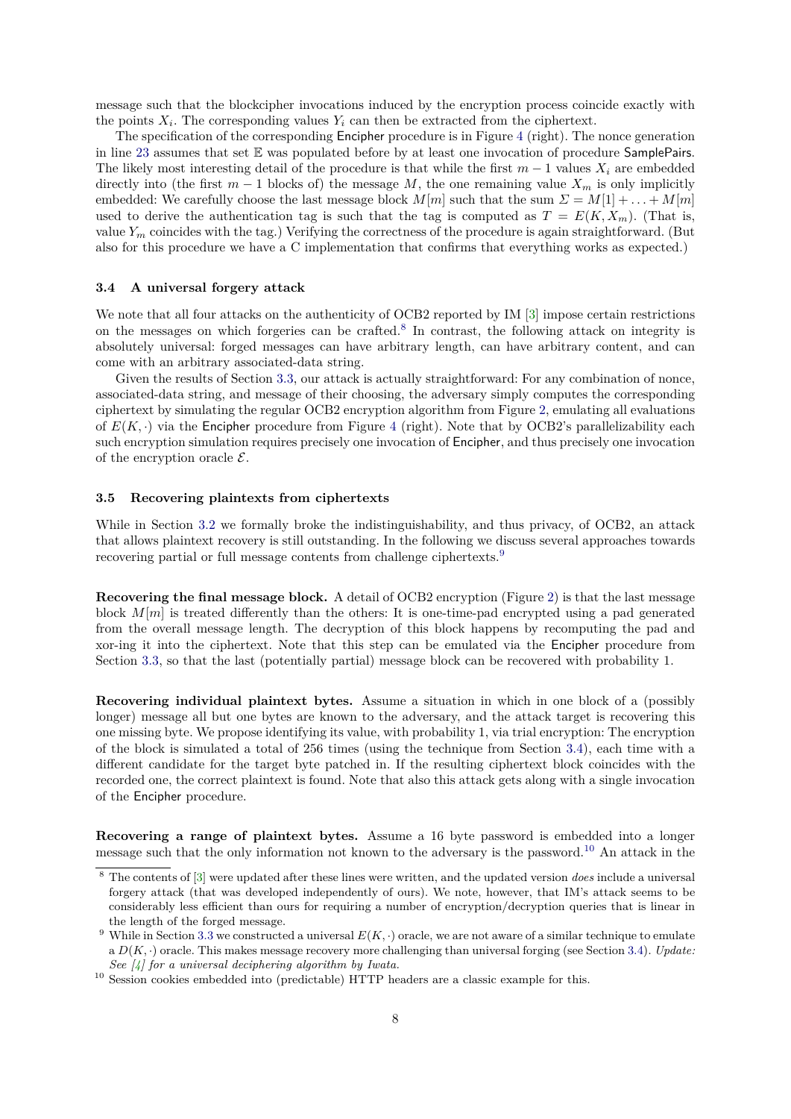message such that the blockcipher invocations induced by the encryption process coincide exactly with the points  $X_i$ . The corresponding values  $Y_i$  can then be extracted from the ciphertext.

The specification of the corresponding Encipher procedure is in Figure [4](#page-6-0) (right). The nonce generation in line [23](#page-6-2) assumes that set E was populated before by at least one invocation of procedure SamplePairs. The likely most interesting detail of the procedure is that while the first  $m-1$  values  $X_i$  are embedded directly into (the first  $m-1$  blocks of) the message  $M$ , the one remaining value  $X_m$  is only implicitly embedded: We carefully choose the last message block  $M[m]$  such that the sum  $\Sigma = M[1] + \ldots + M[m]$ used to derive the authentication tag is such that the tag is computed as  $T = E(K, X_m)$ . (That is, value  $Y_m$  coincides with the tag.) Verifying the correctness of the procedure is again straightforward. (But also for this procedure we have a C implementation that confirms that everything works as expected.)

### <span id="page-7-0"></span>**3.4 A universal forgery attack**

We note that all four attacks on the authenticity of OCB2 reported by IM [\[3\]](#page-9-5) impose certain restrictions on the messages on which forgeries can be crafted.<sup>[8](#page-7-2)</sup> In contrast, the following attack on integrity is absolutely universal: forged messages can have arbitrary length, can have arbitrary content, and can come with an arbitrary associated-data string.

Given the results of Section [3.3,](#page-5-0) our attack is actually straightforward: For any combination of nonce, associated-data string, and message of their choosing, the adversary simply computes the corresponding ciphertext by simulating the regular OCB2 encryption algorithm from Figure [2,](#page-3-0) emulating all evaluations of  $E(K, \cdot)$  via the Encipher procedure from Figure [4](#page-6-0) (right). Note that by OCB2's parallelizability each such encryption simulation requires precisely one invocation of Encipher, and thus precisely one invocation of the encryption oracle  $\mathcal{E}$ .

#### <span id="page-7-1"></span>**3.5 Recovering plaintexts from ciphertexts**

While in Section [3.2](#page-4-0) we formally broke the indistinguishability, and thus privacy, of OCB2, an attack that allows plaintext recovery is still outstanding. In the following we discuss several approaches towards recovering partial or full message contents from challenge ciphertexts.[9](#page-7-3)

**Recovering the final message block.** A detail of OCB2 encryption (Figure [2\)](#page-3-0) is that the last message block  $M[m]$  is treated differently than the others: It is one-time-pad encrypted using a pad generated from the overall message length. The decryption of this block happens by recomputing the pad and xor-ing it into the ciphertext. Note that this step can be emulated via the Encipher procedure from Section [3.3,](#page-5-0) so that the last (potentially partial) message block can be recovered with probability 1.

**Recovering individual plaintext bytes.** Assume a situation in which in one block of a (possibly longer) message all but one bytes are known to the adversary, and the attack target is recovering this one missing byte. We propose identifying its value, with probability 1, via trial encryption: The encryption of the block is simulated a total of 256 times (using the technique from Section [3.4\)](#page-7-0), each time with a different candidate for the target byte patched in. If the resulting ciphertext block coincides with the recorded one, the correct plaintext is found. Note that also this attack gets along with a single invocation of the Encipher procedure.

**Recovering a range of plaintext bytes.** Assume a 16 byte password is embedded into a longer message such that the only information not known to the adversary is the password.[10](#page-7-4) An attack in the

<span id="page-7-2"></span><sup>8</sup> The contents of [\[3\]](#page-9-5) were updated after these lines were written, and the updated version *does* include a universal forgery attack (that was developed independently of ours). We note, however, that IM's attack seems to be considerably less efficient than ours for requiring a number of encryption/decryption queries that is linear in the length of the forged message.

<span id="page-7-3"></span><sup>&</sup>lt;sup>9</sup> While in Section [3.3](#page-5-0) we constructed a universal  $E(K, \cdot)$  oracle, we are not aware of a similar technique to emulate a *D*(*K,* ·) oracle. This makes message recovery more challenging than universal forging (see Section [3.4\)](#page-7-0). *Update: See [\[4\]](#page-9-8) for a universal deciphering algorithm by Iwata.*

<span id="page-7-4"></span><sup>10</sup> Session cookies embedded into (predictable) HTTP headers are a classic example for this.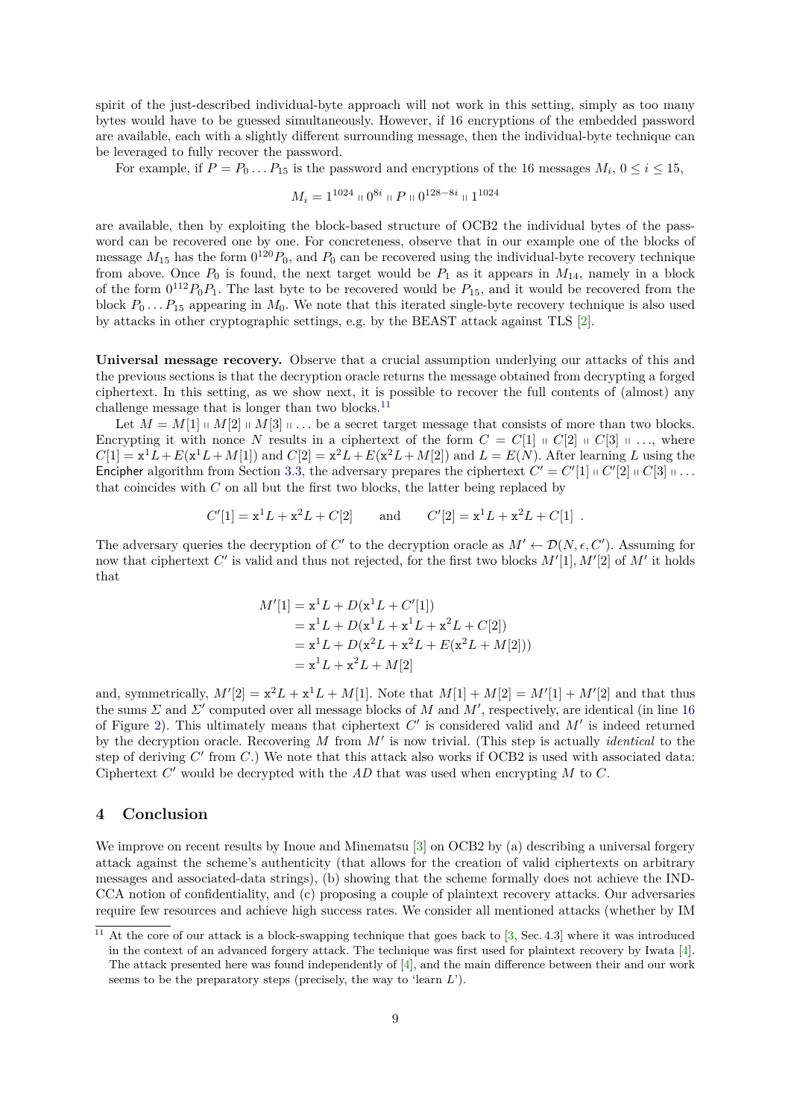spirit of the just-described individual-byte approach will not work in this setting, simply as too many bytes would have to be guessed simultaneously. However, if 16 encryptions of the embedded password are available, each with a slightly different surrounding message, then the individual-byte technique can be leveraged to fully recover the password.

For example, if  $P = P_0 \dots P_{15}$  is the password and encryptions of the 16 messages  $M_i$ ,  $0 \le i \le 15$ ,

$$
M_i = 1^{1024} \oplus 0^{8i} \oplus P \oplus 0^{128-8i} \oplus 1^{1024}
$$

are available, then by exploiting the block-based structure of OCB2 the individual bytes of the password can be recovered one by one. For concreteness, observe that in our example one of the blocks of message  $M_{15}$  has the form  $0^{120}P_0$ , and  $P_0$  can be recovered using the individual-byte recovery technique from above. Once  $P_0$  is found, the next target would be  $P_1$  as it appears in  $M_{14}$ , namely in a block of the form  $0^{112}P_0P_1$ . The last byte to be recovered would be  $P_{15}$ , and it would be recovered from the block  $P_0 \ldots P_{15}$  appearing in  $M_0$ . We note that this iterated single-byte recovery technique is also used by attacks in other cryptographic settings, e.g. by the BEAST attack against TLS [\[2\]](#page-9-9).

**Universal message recovery.** Observe that a crucial assumption underlying our attacks of this and the previous sections is that the decryption oracle returns the message obtained from decrypting a forged ciphertext. In this setting, as we show next, it is possible to recover the full contents of (almost) any challenge message that is longer than two blocks. $^{11}$  $^{11}$  $^{11}$ 

Let  $M = M[1] \parallel M[2] \parallel M[3] \parallel \ldots$  be a secret target message that consists of more than two blocks. Encrypting it with nonce *N* results in a ciphertext of the form  $C = C[1] \cup C[2] \cup C[3] \cup \ldots$ , where  $C[1] = x^1 L + E(x^1 L + M[1])$  and  $C[2] = x^2 L + E(x^2 L + M[2])$  and  $L = E(N)$ . After learning *L* using the Encipher algorithm from Section [3.3,](#page-5-0) the adversary prepares the ciphertext  $C' = C'[1] \sqcup C'[2] \sqcup C[3] \sqcup \ldots$ that coincides with *C* on all but the first two blocks, the latter being replaced by

$$
C'[1] = \mathbf{x}^1 L + \mathbf{x}^2 L + C[2]
$$
 and  $C'[2] = \mathbf{x}^1 L + \mathbf{x}^2 L + C[1]$ .

The adversary queries the decryption of *C*<sup> $\prime$ </sup> to the decryption oracle as  $M' \leftarrow \mathcal{D}(N, \epsilon, C')$ . Assuming for now that ciphertext  $C'$  is valid and thus not rejected, for the first two blocks  $M'[1], M'[2]$  of  $M'$  it holds that

$$
M'[1] = \mathbf{x}^{1}L + D(\mathbf{x}^{1}L + C'[1])
$$
  
=  $\mathbf{x}^{1}L + D(\mathbf{x}^{1}L + \mathbf{x}^{1}L + \mathbf{x}^{2}L + C[2])$   
=  $\mathbf{x}^{1}L + D(\mathbf{x}^{2}L + \mathbf{x}^{2}L + E(\mathbf{x}^{2}L + M[2]))$   
=  $\mathbf{x}^{1}L + \mathbf{x}^{2}L + M[2]$ 

and, symmetrically,  $M'[2] = x^2L + x^1L + M[1]$ . Note that  $M[1] + M[2] = M'[1] + M'[2]$  and that thus the sums  $\Sigma$  and  $\Sigma'$  computed over all message blocks of  $M$  and  $M'$ , respectively, are identical (in line [16](#page-3-6) of Figure [2\)](#page-3-0). This ultimately means that ciphertext  $C'$  is considered valid and  $M'$  is indeed returned by the decryption oracle. Recovering M from M' is now trivial. (This step is actually *identical* to the step of deriving C' from C.) We note that this attack also works if OCB2 is used with associated data: Ciphertext  $C'$  would be decrypted with the  $AD$  that was used when encrypting  $M$  to  $C$ .

## **4 Conclusion**

We improve on recent results by Inoue and Minematsu [\[3\]](#page-9-5) on OCB2 by (a) describing a universal forgery attack against the scheme's authenticity (that allows for the creation of valid ciphertexts on arbitrary messages and associated-data strings), (b) showing that the scheme formally does not achieve the IND-CCA notion of confidentiality, and (c) proposing a couple of plaintext recovery attacks. Our adversaries require few resources and achieve high success rates. We consider all mentioned attacks (whether by IM

<span id="page-8-0"></span> $11$  At the core of our attack is a block-swapping technique that goes back to [\[3,](#page-9-5) Sec. 4.3] where it was introduced in the context of an advanced forgery attack. The technique was first used for plaintext recovery by Iwata [\[4\]](#page-9-8). The attack presented here was found independently of [\[4\]](#page-9-8), and the main difference between their and our work seems to be the preparatory steps (precisely, the way to 'learn *L*').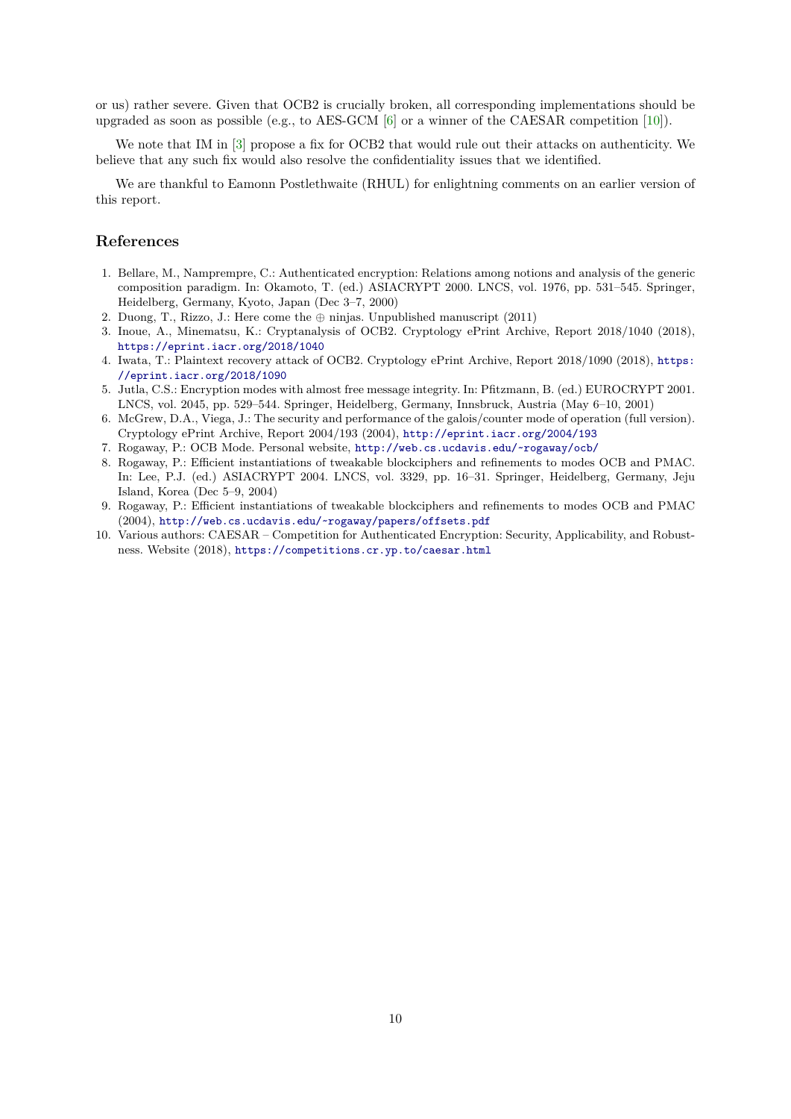or us) rather severe. Given that OCB2 is crucially broken, all corresponding implementations should be upgraded as soon as possible (e.g., to AES-GCM [\[6\]](#page-9-3) or a winner of the CAESAR competition [\[10\]](#page-9-2)).

We note that IM in [\[3\]](#page-9-5) propose a fix for OCB2 that would rule out their attacks on authenticity. We believe that any such fix would also resolve the confidentiality issues that we identified.

We are thankful to Eamonn Postlethwaite (RHUL) for enlightning comments on an earlier version of this report.

# **References**

- <span id="page-9-0"></span>1. Bellare, M., Namprempre, C.: Authenticated encryption: Relations among notions and analysis of the generic composition paradigm. In: Okamoto, T. (ed.) ASIACRYPT 2000. LNCS, vol. 1976, pp. 531–545. Springer, Heidelberg, Germany, Kyoto, Japan (Dec 3–7, 2000)
- <span id="page-9-9"></span>2. Duong, T., Rizzo, J.: Here come the ⊕ ninjas. Unpublished manuscript (2011)
- <span id="page-9-5"></span>3. Inoue, A., Minematsu, K.: Cryptanalysis of OCB2. Cryptology ePrint Archive, Report 2018/1040 (2018), <https://eprint.iacr.org/2018/1040>
- <span id="page-9-8"></span>4. Iwata, T.: Plaintext recovery attack of OCB2. Cryptology ePrint Archive, Report 2018/1090 (2018), [https:](https://eprint.iacr.org/2018/1090) [//eprint.iacr.org/2018/1090](https://eprint.iacr.org/2018/1090)
- <span id="page-9-1"></span>5. Jutla, C.S.: Encryption modes with almost free message integrity. In: Pfitzmann, B. (ed.) EUROCRYPT 2001. LNCS, vol. 2045, pp. 529–544. Springer, Heidelberg, Germany, Innsbruck, Austria (May 6–10, 2001)
- <span id="page-9-3"></span>6. McGrew, D.A., Viega, J.: The security and performance of the galois/counter mode of operation (full version). Cryptology ePrint Archive, Report 2004/193 (2004), <http://eprint.iacr.org/2004/193>
- <span id="page-9-4"></span>7. Rogaway, P.: OCB Mode. Personal website, <http://web.cs.ucdavis.edu/~rogaway/ocb/>
- <span id="page-9-6"></span>8. Rogaway, P.: Efficient instantiations of tweakable blockciphers and refinements to modes OCB and PMAC. In: Lee, P.J. (ed.) ASIACRYPT 2004. LNCS, vol. 3329, pp. 16–31. Springer, Heidelberg, Germany, Jeju Island, Korea (Dec 5–9, 2004)
- <span id="page-9-7"></span>9. Rogaway, P.: Efficient instantiations of tweakable blockciphers and refinements to modes OCB and PMAC (2004), <http://web.cs.ucdavis.edu/~rogaway/papers/offsets.pdf>
- <span id="page-9-2"></span>10. Various authors: CAESAR – Competition for Authenticated Encryption: Security, Applicability, and Robustness. Website (2018), <https://competitions.cr.yp.to/caesar.html>